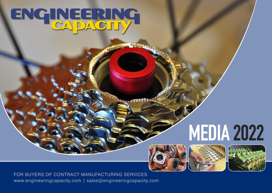# ENGINEERING

## **MEDIA 2022**







FOR BUYERS OF CONTRACT MANUFACTURING SERVICES www.engineeringcapacity.com | sales@engineeringcapacity.com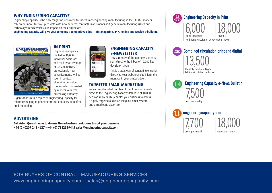#### **WHY ENGINEERING CAPACITY?**

Engineering Capacity is the only magazine dedicated to subcontract engineering manufacturing in the UK. Our readers rely on our news to stay up-to-date with new services, contracts, investments and general manufacturing issues and technology trends which could impact on their businesses.

**Engineering Capacity will give your company a competitive edge – Print Magazine, 24/7 online and weekly e-bulletin.**



reference helping to generate further enquiries long after

Engineering Capacity is mailed to 10,000 individual addresses and read by an average of 22,500 industry professionals. Your advertisements will be seen in context alongside our valued content which is trusted by readers with real purchasing authority.



#### **ENGINEERING CAPACITY E-NEWSLETTER**

This summary of the top new stories is sent direct to the inbox of 10,000 key decision-makers.

This is a great way of generating enquiries directly to your website and re inform the message in your printed advert.

#### **TARGETED EMAIL MARKETING**

We can send a select number of client branded emails direct to the Engineering Capacity database of 10,000 decision-makers. This enables your business to access a highly targeted audience using our email system and e-marketing expertise.

#### **ADVERTISING**

publication date.

**Call Arfan Qureshi now to discuss the advertising solutions to suit your business +44 (2) 0207 241 4627 • +44 (0) 7882339445 sales@engineeringcapacity.com**





13,500 **Combined circulation print and digital**

Monthly print and Digital Edition circulation audience

**Engineering Capacity e-News Bulletin** Ħ 7,500 Inboxes weekly

7,700 users per month 18,000 views per month **engineeringcapacity.com**

FOR BUYERS OF CONTRACT MANUFACTURING SERVICES www.engineeringcapacity.com | sales@engineeringcapacity.com